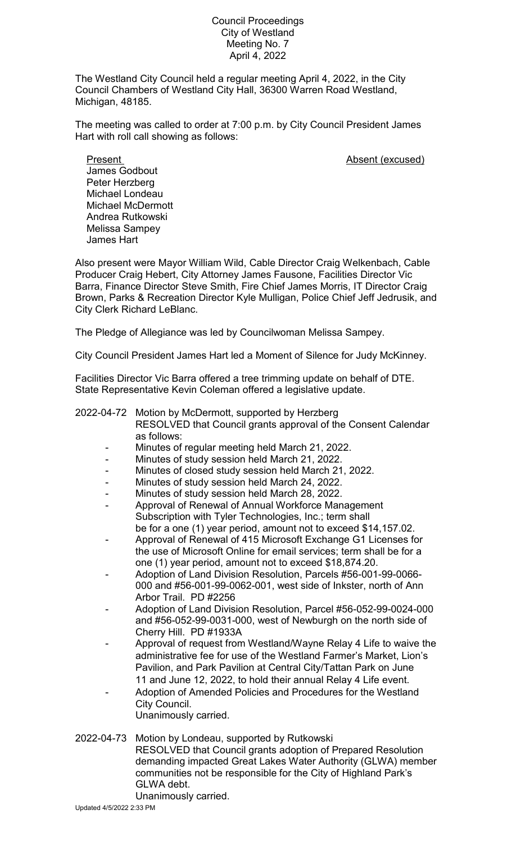## Council Proceedings City of Westland Meeting No. 7 April 4, 2022

The Westland City Council held a regular meeting April 4, 2022, in the City Council Chambers of Westland City Hall, 36300 Warren Road Westland, Michigan, 48185.

The meeting was called to order at 7:00 p.m. by City Council President James Hart with roll call showing as follows:

Present **Absent** (excused) James Godbout Peter Herzberg Michael Londeau Michael McDermott Andrea Rutkowski Melissa Sampey James Hart

Also present were Mayor William Wild, Cable Director Craig Welkenbach, Cable Producer Craig Hebert, City Attorney James Fausone, Facilities Director Vic Barra, Finance Director Steve Smith, Fire Chief James Morris, IT Director Craig Brown, Parks & Recreation Director Kyle Mulligan, Police Chief Jeff Jedrusik, and City Clerk Richard LeBlanc.

The Pledge of Allegiance was led by Councilwoman Melissa Sampey.

City Council President James Hart led a Moment of Silence for Judy McKinney.

Facilities Director Vic Barra offered a tree trimming update on behalf of DTE. State Representative Kevin Coleman offered a legislative update.

## 2022-04-72 Motion by McDermott, supported by Herzberg

RESOLVED that Council grants approval of the Consent Calendar as follows:

- Minutes of regular meeting held March 21, 2022.
- Minutes of study session held March 21, 2022.
- Minutes of closed study session held March 21, 2022.
- Minutes of study session held March 24, 2022.
- Minutes of study session held March 28, 2022.
- Approval of Renewal of Annual Workforce Management Subscription with Tyler Technologies, Inc.; term shall be for a one (1) year period, amount not to exceed \$14,157.02.
- Approval of Renewal of 415 Microsoft Exchange G1 Licenses for the use of Microsoft Online for email services; term shall be for a one (1) year period, amount not to exceed \$18,874.20.
- Adoption of Land Division Resolution, Parcels #56-001-99-0066- 000 and #56-001-99-0062-001, west side of Inkster, north of Ann Arbor Trail. PD #2256
- Adoption of Land Division Resolution, Parcel #56-052-99-0024-000 and #56-052-99-0031-000, west of Newburgh on the north side of Cherry Hill. PD #1933A
- Approval of request from Westland/Wayne Relay 4 Life to waive the administrative fee for use of the Westland Farmer's Market, Lion's Pavilion, and Park Pavilion at Central City/Tattan Park on June 11 and June 12, 2022, to hold their annual Relay 4 Life event.
- Adoption of Amended Policies and Procedures for the Westland City Council.
	- Unanimously carried.

## 2022-04-73 Motion by Londeau, supported by Rutkowski RESOLVED that Council grants adoption of Prepared Resolution

demanding impacted Great Lakes Water Authority (GLWA) member communities not be responsible for the City of Highland Park's GLWA debt.